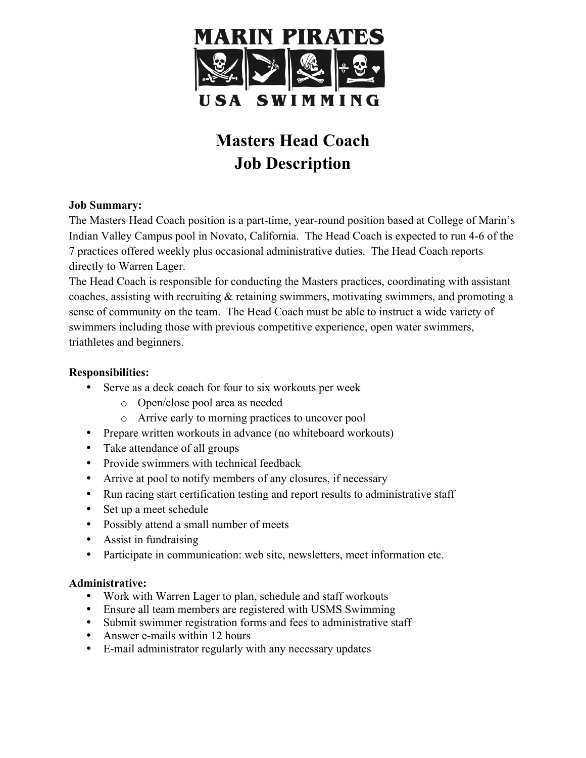

# **Masters Head Coach Job Description**

## **Job Summary:**

The Masters Head Coach position is a part-time, year-round position based at College of Marin's Indian Valley Campus pool in Novato, California. The Head Coach is expected to run 4-6 of the 7 practices offered weekly plus occasional administrative duties. The Head Coach reports directly to Warren Lager.

The Head Coach is responsible for conducting the Masters practices, coordinating with assistant coaches, assisting with recruiting & retaining swimmers, motivating swimmers, and promoting a sense of community on the team. The Head Coach must be able to instruct a wide variety of swimmers including those with previous competitive experience, open water swimmers, triathletes and beginners.

## **Responsibilities:**

- Serve as a deck coach for four to six workouts per week
	- o Open/close pool area as needed
	- o Arrive early to morning practices to uncover pool
- Prepare written workouts in advance (no whiteboard workouts)
- Take attendance of all groups
- Provide swimmers with technical feedback
- Arrive at pool to notify members of any closures, if necessary
- Run racing start certification testing and report results to administrative staff
- Set up a meet schedule
- Possibly attend a small number of meets
- Assist in fundraising
- Participate in communication: web site, newsletters, meet information etc.

# **Administrative:**

- Work with Warren Lager to plan, schedule and staff workouts
- Ensure all team members are registered with USMS Swimming
- Submit swimmer registration forms and fees to administrative staff
- Answer e-mails within 12 hours
- E-mail administrator regularly with any necessary updates